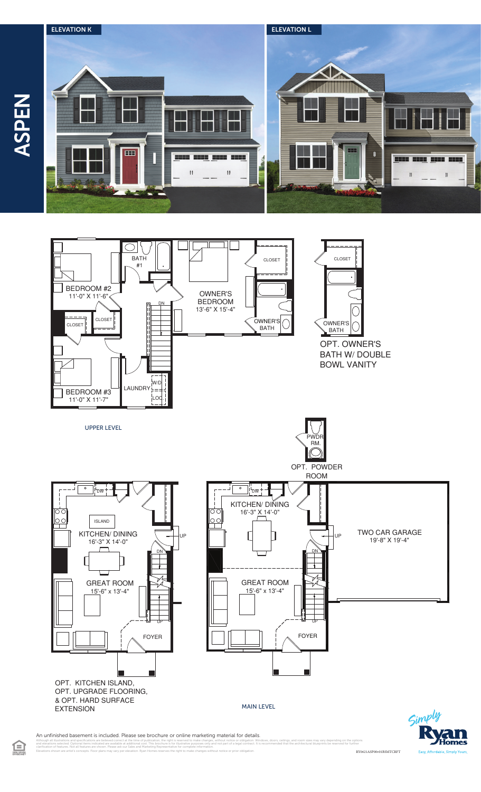

ASPEN

全



An unfinished basement is included. Please see brochure or online marketing material for details.

l illustrations and specifications are believed correct at the time of publication, the right is reserved to make changes, without notice or obligation. Windows, doors, ceilings, and room sizes may vary depending on the op clarification of features. Not all features are shown. Please ask our Sales and Marketing Representative for complete information. Elevations shown are artist's concepts. Floor plans may vary per elevation. Ryan Homes reserves the right to make changes without notice or prior obligation. RY0621ASP00v01BSMTCRFT